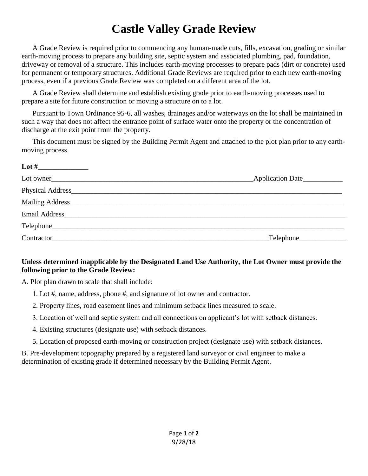## **Castle Valley Grade Review**

A Grade Review is required prior to commencing any human-made cuts, fills, excavation, grading or similar earth-moving process to prepare any building site, septic system and associated plumbing, pad, foundation, driveway or removal of a structure. This includes earth-moving processes to prepare pads (dirt or concrete) used for permanent or temporary structures. Additional Grade Reviews are required prior to each new earth-moving process, even if a previous Grade Review was completed on a different area of the lot.

A Grade Review shall determine and establish existing grade prior to earth-moving processes used to prepare a site for future construction or moving a structure on to a lot.

Pursuant to Town Ordinance 95-6, all washes, drainages and/or waterways on the lot shall be maintained in such a way that does not affect the entrance point of surface water onto the property or the concentration of discharge at the exit point from the property.

This document must be signed by the Building Permit Agent and attached to the plot plan prior to any earthmoving process.

| Lot owner                                                                                                                                                                                                                      | Application Date                      |
|--------------------------------------------------------------------------------------------------------------------------------------------------------------------------------------------------------------------------------|---------------------------------------|
|                                                                                                                                                                                                                                |                                       |
|                                                                                                                                                                                                                                |                                       |
| Email Address and the contract of the contract of the contract of the contract of the contract of the contract of the contract of the contract of the contract of the contract of the contract of the contract of the contract |                                       |
|                                                                                                                                                                                                                                |                                       |
| Contractor                                                                                                                                                                                                                     | $\textcolor{red}{\text{-}}$ Telephone |

## **Unless determined inapplicable by the Designated Land Use Authority, the Lot Owner must provide the following prior to the Grade Review:**

A. Plot plan drawn to scale that shall include:

- 1. Lot #, name, address, phone #, and signature of lot owner and contractor.
- 2. Property lines, road easement lines and minimum setback lines measured to scale.
- 3. Location of well and septic system and all connections on applicant's lot with setback distances.
- 4. Existing structures (designate use) with setback distances.
- 5. Location of proposed earth-moving or construction project (designate use) with setback distances.

B. Pre-development topography prepared by a registered land surveyor or civil engineer to make a determination of existing grade if determined necessary by the Building Permit Agent.